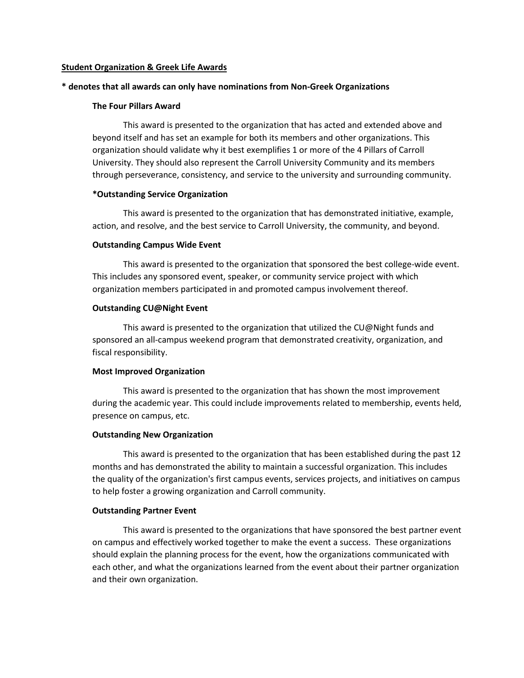# **Student Organization & Greek Life Awards**

# **\* denotes that all awards can only have nominations from Non-Greek Organizations**

# **The Four Pillars Award**

This award is presented to the organization that has acted and extended above and beyond itself and has set an example for both its members and other organizations. This organization should validate why it best exemplifies 1 or more of the 4 Pillars of Carroll University. They should also represent the Carroll University Community and its members through perseverance, consistency, and service to the university and surrounding community.

# **\*Outstanding Service Organization**

This award is presented to the organization that has demonstrated initiative, example, action, and resolve, and the best service to Carroll University, the community, and beyond.

# **Outstanding Campus Wide Event**

This award is presented to the organization that sponsored the best college-wide event. This includes any sponsored event, speaker, or community service project with which organization members participated in and promoted campus involvement thereof.

# **Outstanding CU@Night Event**

This award is presented to the organization that utilized the CU@Night funds and sponsored an all-campus weekend program that demonstrated creativity, organization, and fiscal responsibility.

### **Most Improved Organization**

This award is presented to the organization that has shown the most improvement during the academic year. This could include improvements related to membership, events held, presence on campus, etc.

#### **Outstanding New Organization**

This award is presented to the organization that has been established during the past 12 months and has demonstrated the ability to maintain a successful organization. This includes the quality of the organization's first campus events, services projects, and initiatives on campus to help foster a growing organization and Carroll community.

#### **Outstanding Partner Event**

This award is presented to the organizations that have sponsored the best partner event on campus and effectively worked together to make the event a success. These organizations should explain the planning process for the event, how the organizations communicated with each other, and what the organizations learned from the event about their partner organization and their own organization.